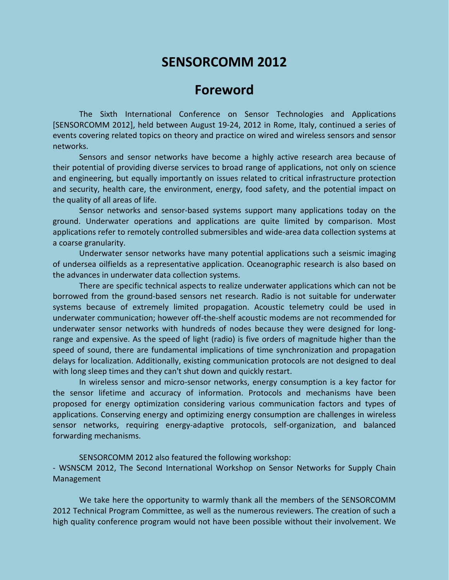## **SENSORCOMM 2012**

## **Foreword**

The Sixth International Conference on Sensor Technologies and Applications [SENSORCOMM 2012], held between August 19-24, 2012 in Rome, Italy, continued a series of events covering related topics on theory and practice on wired and wireless sensors and sensor networks.

Sensors and sensor networks have become a highly active research area because of their potential of providing diverse services to broad range of applications, not only on science and engineering, but equally importantly on issues related to critical infrastructure protection and security, health care, the environment, energy, food safety, and the potential impact on the quality of all areas of life.

Sensor networks and sensor-based systems support many applications today on the ground. Underwater operations and applications are quite limited by comparison. Most applications refer to remotely controlled submersibles and wide-area data collection systems at a coarse granularity.

Underwater sensor networks have many potential applications such a seismic imaging of undersea oilfields as a representative application. Oceanographic research is also based on the advances in underwater data collection systems.

There are specific technical aspects to realize underwater applications which can not be borrowed from the ground-based sensors net research. Radio is not suitable for underwater systems because of extremely limited propagation. Acoustic telemetry could be used in underwater communication; however off-the-shelf acoustic modems are not recommended for underwater sensor networks with hundreds of nodes because they were designed for longrange and expensive. As the speed of light (radio) is five orders of magnitude higher than the speed of sound, there are fundamental implications of time synchronization and propagation delays for localization. Additionally, existing communication protocols are not designed to deal with long sleep times and they can't shut down and quickly restart.

In wireless sensor and micro-sensor networks, energy consumption is a key factor for the sensor lifetime and accuracy of information. Protocols and mechanisms have been proposed for energy optimization considering various communication factors and types of applications. Conserving energy and optimizing energy consumption are challenges in wireless sensor networks, requiring energy-adaptive protocols, self-organization, and balanced forwarding mechanisms.

SENSORCOMM 2012 also featured the following workshop:

- WSNSCM 2012, The Second International Workshop on Sensor Networks for Supply Chain Management

We take here the opportunity to warmly thank all the members of the SENSORCOMM 2012 Technical Program Committee, as well as the numerous reviewers. The creation of such a high quality conference program would not have been possible without their involvement. We